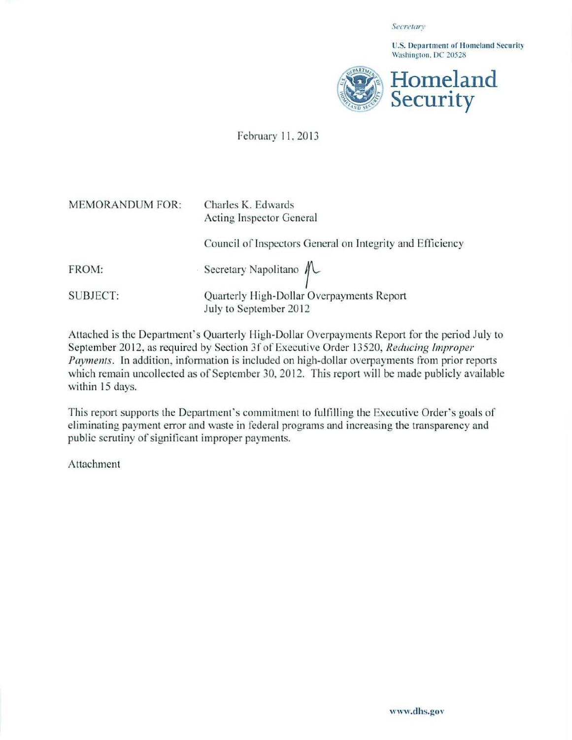*SecretmT* 

U.S. Department of Homeland Security Washington. DC 20528



## February 11, 2013

| <b>MEMORANDUM FOR:</b> | Charles K. Edwards<br>Acting Inspector General                      |
|------------------------|---------------------------------------------------------------------|
|                        | Council of Inspectors General on Integrity and Efficiency           |
| FROM:                  | Secretary Napolitano $\mathcal{N}$                                  |
| <b>SUBJECT:</b>        | Quarterly High-Dollar Overpayments Report<br>July to September 2012 |

Attached is the Department's Quarterly High-Dollar Overpayments Report for the period July to September 2012. as required by Section 3f of Executive Order 13520, *Reducing Improper Paymenls.* In addition, information is included on high-dollar overpayments from prior reports which remain uncollected as of September 30, 2012. This report will be made publicly available within 15 days.

This report supports the Department's commitment to fulfilling the Executive Order's goals of eliminating payment error and waste in federal programs and increasing the transparency and public scrutiny of signiticant improper payments.

Atiachment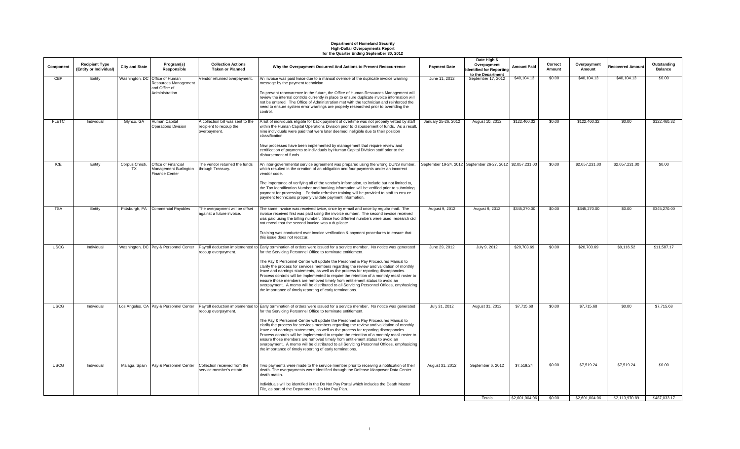# **Department of Homeland Security High-Dollar Overpayments Report for the Quarter Ending September 30, 2012**

| Component    | <b>Recipient Type</b><br>(Entity or Individual) | <b>City and State</b>        | Program(s)<br>Responsible                                                                 | <b>Collection Actions</b><br><b>Taken or Planned</b>                         | Why the Overpayment Occurred And Actions to Prevent Reoccurrence                                                                                                                                                                                                                                                                                                                                                                                                                                                                                                                                                                                                                                                                                                                                 | <b>Payment Date</b> | Date High \$<br>Overpayment<br>dentified for Reporting<br>to the Department | <b>Amount Paid</b> | Correct<br>Amount | Overpayment<br>Amount | <b>Recovered Amount</b> | Outstanding<br><b>Balance</b> |
|--------------|-------------------------------------------------|------------------------------|-------------------------------------------------------------------------------------------|------------------------------------------------------------------------------|--------------------------------------------------------------------------------------------------------------------------------------------------------------------------------------------------------------------------------------------------------------------------------------------------------------------------------------------------------------------------------------------------------------------------------------------------------------------------------------------------------------------------------------------------------------------------------------------------------------------------------------------------------------------------------------------------------------------------------------------------------------------------------------------------|---------------------|-----------------------------------------------------------------------------|--------------------|-------------------|-----------------------|-------------------------|-------------------------------|
| CBP          | Entity                                          |                              | Washington, DC Office of Human<br>Resources Management<br>and Office of<br>Administration | Vendor returned overpayment.                                                 | An invoice was paid twice due to a manual override of the duplicate invoice warning<br>message by the payment technician.<br>To prevent reoccurrence in the future, the Office of Human Resources Management will<br>review the internal controls currently in place to ensure duplicate invoice information will<br>not be entered. The Office of Administration met with the technician and reinforced the<br>need to ensure system error warnings are properly researched prior to overriding the                                                                                                                                                                                                                                                                                             | June 11, 2012       | September 17, 2012                                                          | \$40,104.13        | \$0.00            | \$40,104.13           | \$40,104.13             | \$0.00                        |
| <b>FLETC</b> | Individual                                      | Glynco, GA                   | Human Capital<br>Operations Division                                                      | A collection bill was sent to the<br>recipient to recoup the<br>overpayment. | control.<br>A list of individuals eligible for back payment of overtime was not properly vetted by staff<br>within the Human Capital Operations Division prior to disbursement of funds. As a result,<br>nine individuals were paid that were later deemed ineligible due to their position<br>classification.<br>New processes have been implemented by management that require review and<br>certification of payments to individuals by Human Capital Division staff prior to the                                                                                                                                                                                                                                                                                                             | January 25-26, 2012 | August 10, 2012                                                             | \$122,460.32       | \$0.00            | \$122,460.32          | \$0.00                  | \$122,460.32                  |
| ICE          | Entity                                          | Corpus Christi,<br><b>TX</b> | Office of Financial<br>Management Burlington<br><b>Finance Center</b>                     | The vendor returned the funds<br>through Treasury.                           | disbursement of funds.<br>An inter-governmental service agreement was prepared using the wrong DUNS number, September 19-24, 2012 September 26-27, 2012 \$2,057,231.00<br>which resulted in the creation of an obligation and four payments under an incorrect<br>vendor code.<br>The importance of verifying all of the vendor's information, to include but not limited to,<br>the Tax Identification Number and banking information will be verified prior to submitting<br>payment for processing. Periodic refresher training will be provided to staff to ensure<br>payment technicians properly validate payment information.                                                                                                                                                             |                     |                                                                             |                    | \$0.00            | \$2,057,231.00        | \$2,057,231.00          | \$0.00                        |
| <b>TSA</b>   | Entity                                          | Pittsburgh, PA               | <b>Commercial Payables</b>                                                                | The overpayment will be offset<br>against a future invoice.                  | The same invoice was received twice, once by e-mail and once by regular mail. The<br>invoice received first was paid using the invoice number. The second invoice received<br>was paid using the billing number. Since two different numbers were used, research did<br>not reveal that the second invoice was a duplicate.<br>Training was conducted over invoice verification & payment procedures to ensure that<br>this issue does not reoccur.                                                                                                                                                                                                                                                                                                                                              | August 9, 2012      | August 9, 2012                                                              | \$345,270.00       | \$0.00            | \$345,270.00          | \$0.00                  | \$345,270.00                  |
| <b>USCG</b>  | Individual                                      |                              | Washington, DC   Pay & Personnel Center                                                   | recoup overpayment.                                                          | Payroll deduction implemented to Early termination of orders were issued for a service member. No notice was generated<br>for the Servicing Personnel Office to terminate entitlement.<br>The Pay & Personnel Center will update the Personnel & Pay Procedures Manual to<br>clarify the process for services members regarding the review and validation of monthly<br>leave and earnings statements, as well as the process for reporting discrepancies.<br>Process controls will be implemented to require the retention of a monthly recall roster to<br>ensure those members are removed timely from entitlement status to avoid an<br>overpayment. A memo will be distributed to all Servicing Personnel Offices, emphasizing<br>the importance of timely reporting of early terminations. | June 29, 2012       | July 9, 2012                                                                | \$20,703.69        | \$0.00            | \$20,703.69           | \$9,116.52              | \$11,587.17                   |
| <b>USCG</b>  | Individual                                      |                              | Los Angeles, CA Pay & Personnel Center                                                    | recoup overpayment.                                                          | Payroll deduction implemented to Early termination of orders were issued for a service member. No notice was generated<br>for the Servicing Personnel Office to terminate entitlement.<br>The Pay & Personnel Center will update the Personnel & Pay Procedures Manual to<br>clarify the process for services members regarding the review and validation of monthly<br>leave and earnings statements, as well as the process for reporting discrepancies.<br>Process controls will be implemented to require the retention of a monthly recall roster to<br>ensure those members are removed timely from entitlement status to avoid an<br>overpayment. A memo will be distributed to all Servicing Personnel Offices, emphasizing<br>the importance of timely reporting of early terminations. | July 31, 2012       | August 31, 2012                                                             | \$7,715.68         | \$0.00            | \$7,715.68            | \$0.00                  | \$7,715.68                    |
| <b>USCG</b>  | Individual                                      | Malaga, Spain                | Pay & Personnel Center                                                                    | Collection received from the<br>service member's estate.                     | Two payments were made to the service member prior to receiving a notification of their<br>death. The overpayments were identified through the Defense Manpower Data Center<br>death match.<br>Individuals will be identified in the Do Not Pay Portal which includes the Death Master<br>File, as part of the Department's Do Not Pay Plan.                                                                                                                                                                                                                                                                                                                                                                                                                                                     | August 31, 2012     | September 6, 2012                                                           | \$7,519.24         | \$0.00            | \$7,519.24            | \$7,519.24              | \$0.00                        |
|              |                                                 |                              |                                                                                           |                                                                              |                                                                                                                                                                                                                                                                                                                                                                                                                                                                                                                                                                                                                                                                                                                                                                                                  |                     | Totals                                                                      | \$2,601,004.06     | \$0.00            | \$2,601,004.06        | \$2,113,970.89          | \$487.033.17                  |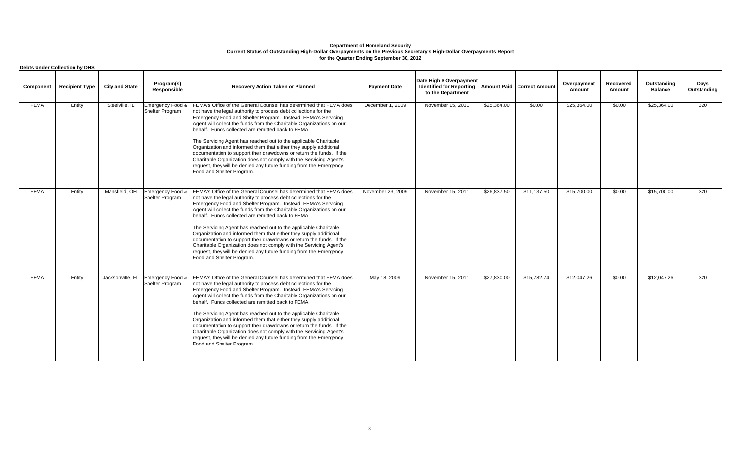|             | <b>Debts Under Collection by DHS</b> |                       |                                                      |                                                                                                                                                                                                                                                                                                                                                                                                                                                                                                                                                                                                                                                                                                                                  |                     |                                                                                  |             |                                     |                       |                     |                               |                     |
|-------------|--------------------------------------|-----------------------|------------------------------------------------------|----------------------------------------------------------------------------------------------------------------------------------------------------------------------------------------------------------------------------------------------------------------------------------------------------------------------------------------------------------------------------------------------------------------------------------------------------------------------------------------------------------------------------------------------------------------------------------------------------------------------------------------------------------------------------------------------------------------------------------|---------------------|----------------------------------------------------------------------------------|-------------|-------------------------------------|-----------------------|---------------------|-------------------------------|---------------------|
| Component   | <b>Recipient Type</b>                | <b>City and State</b> | Program(s)<br>Responsible                            | <b>Recovery Action Taken or Planned</b>                                                                                                                                                                                                                                                                                                                                                                                                                                                                                                                                                                                                                                                                                          | <b>Payment Date</b> | Date High \$ Overpayment<br><b>Identified for Reporting</b><br>to the Department |             | <b>Amount Paid   Correct Amount</b> | Overpayment<br>Amount | Recovered<br>Amount | Outstanding<br><b>Balance</b> | Days<br>Outstanding |
| <b>FEMA</b> | Entity                               | Steelville, IL        | Emergency Food &<br>Shelter Program                  | FEMA's Office of the General Counsel has determined that FEMA does<br>not have the legal authority to process debt collections for the<br>Emergency Food and Shelter Program. Instead, FEMA's Servicing<br>Agent will collect the funds from the Charitable Organizations on our<br>behalf. Funds collected are remitted back to FEMA.<br>The Servicing Agent has reached out to the applicable Charitable<br>Organization and informed them that either they supply additional<br>documentation to support their drawdowns or return the funds. If the<br>Charitable Organization does not comply with the Servicing Agent's<br>request, they will be denied any future funding from the Emergency<br>Food and Shelter Program. | December 1, 2009    | November 15, 2011                                                                | \$25,364.00 | \$0.00                              | \$25,364.00           | \$0.00              | \$25,364.00                   | 320                 |
| <b>FEMA</b> | Entity                               | Mansfield, OH         | Emergency Food &<br>Shelter Program                  | FEMA's Office of the General Counsel has determined that FEMA does<br>not have the legal authority to process debt collections for the<br>Emergency Food and Shelter Program. Instead, FEMA's Servicing<br>Agent will collect the funds from the Charitable Organizations on our<br>behalf. Funds collected are remitted back to FEMA.<br>The Servicing Agent has reached out to the applicable Charitable<br>Organization and informed them that either they supply additional<br>documentation to support their drawdowns or return the funds. If the<br>Charitable Organization does not comply with the Servicing Agent's<br>request, they will be denied any future funding from the Emergency<br>Food and Shelter Program. | November 23, 2009   | November 15, 2011                                                                | \$26,837.50 | \$11,137.50                         | \$15,700.00           | \$0.00              | \$15,700.00                   | 320                 |
| <b>FEMA</b> | Entity                               |                       | Jacksonville, FL Emergency Food &<br>Shelter Program | FEMA's Office of the General Counsel has determined that FEMA does<br>not have the legal authority to process debt collections for the<br>Emergency Food and Shelter Program. Instead, FEMA's Servicing<br>Agent will collect the funds from the Charitable Organizations on our<br>behalf. Funds collected are remitted back to FEMA.<br>The Servicing Agent has reached out to the applicable Charitable<br>Organization and informed them that either they supply additional<br>documentation to support their drawdowns or return the funds. If the<br>Charitable Organization does not comply with the Servicing Agent's<br>request, they will be denied any future funding from the Emergency<br>Food and Shelter Program. | May 18, 2009        | November 15, 2011                                                                | \$27,830.00 | \$15,782.74                         | \$12,047.26           | \$0.00              | \$12,047.26                   | 320                 |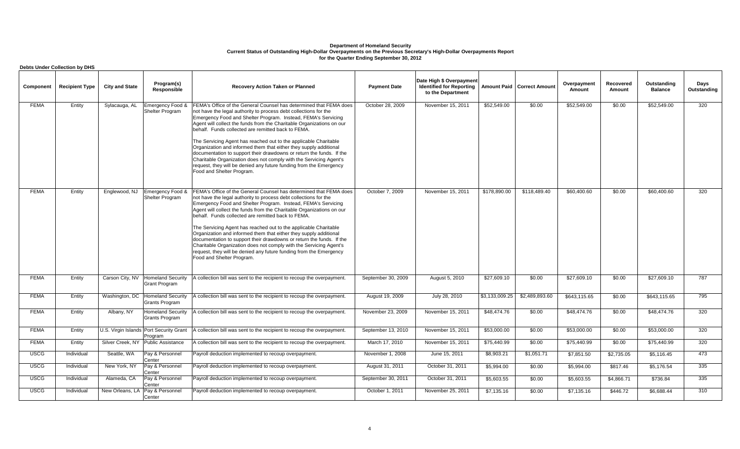|             | <b>Debts Under Collection by DHS</b> |                       |                                                             |                                                                                                                                                                                                                                                                                                                                                                                                            |                     |                                                                                  |                |                                     |                       |                     |                               |                     |
|-------------|--------------------------------------|-----------------------|-------------------------------------------------------------|------------------------------------------------------------------------------------------------------------------------------------------------------------------------------------------------------------------------------------------------------------------------------------------------------------------------------------------------------------------------------------------------------------|---------------------|----------------------------------------------------------------------------------|----------------|-------------------------------------|-----------------------|---------------------|-------------------------------|---------------------|
| Component   | <b>Recipient Type</b>                | <b>City and State</b> | Program(s)<br>Responsible                                   | <b>Recovery Action Taken or Planned</b>                                                                                                                                                                                                                                                                                                                                                                    | <b>Payment Date</b> | Date High \$ Overpayment<br><b>Identified for Reporting</b><br>to the Department |                | <b>Amount Paid   Correct Amount</b> | Overpayment<br>Amount | Recovered<br>Amount | Outstanding<br><b>Balance</b> | Days<br>Outstanding |
| <b>FEMA</b> | Entity                               | Sylacauga, AL         | Emergency Food &<br>Shelter Program                         | FEMA's Office of the General Counsel has determined that FEMA does<br>not have the legal authority to process debt collections for the<br>Emergency Food and Shelter Program. Instead, FEMA's Servicing<br>Agent will collect the funds from the Charitable Organizations on our<br>behalf. Funds collected are remitted back to FEMA.<br>The Servicing Agent has reached out to the applicable Charitable | October 28, 2009    | November 15, 2011                                                                | \$52,549.00    | \$0.00                              | \$52,549.00           | \$0.00              | \$52,549.00                   | 320                 |
|             |                                      |                       |                                                             | Organization and informed them that either they supply additional<br>documentation to support their drawdowns or return the funds. If the<br>Charitable Organization does not comply with the Servicing Agent's<br>request, they will be denied any future funding from the Emergency<br>Food and Shelter Program.                                                                                         |                     |                                                                                  |                |                                     |                       |                     |                               |                     |
| <b>FEMA</b> | Entity                               | Englewood, NJ         | Emergency Food &<br>Shelter Program                         | FEMA's Office of the General Counsel has determined that FEMA does<br>not have the legal authority to process debt collections for the<br>Emergency Food and Shelter Program. Instead, FEMA's Servicing<br>Agent will collect the funds from the Charitable Organizations on our<br>behalf. Funds collected are remitted back to FEMA.                                                                     | October 7, 2009     | November 15, 2011                                                                | \$178,890.00   | \$118,489.40                        | \$60,400.60           | \$0.00              | \$60,400.60                   | 320                 |
|             |                                      |                       |                                                             | The Servicing Agent has reached out to the applicable Charitable<br>Organization and informed them that either they supply additional<br>documentation to support their drawdowns or return the funds. If the<br>Charitable Organization does not comply with the Servicing Agent's<br>request, they will be denied any future funding from the Emergency<br>Food and Shelter Program.                     |                     |                                                                                  |                |                                     |                       |                     |                               |                     |
| <b>FEMA</b> | Entity                               |                       | Carson City, NV   Homeland Security<br><b>Grant Program</b> | A collection bill was sent to the recipient to recoup the overpayment.                                                                                                                                                                                                                                                                                                                                     | September 30, 2009  | August 5, 2010                                                                   | \$27,609.10    | \$0.00                              | \$27,609.10           | \$0.00              | \$27,609.10                   | 787                 |
| <b>FEMA</b> | Entity                               | Washington, DC        | <b>Homeland Security</b><br>Grants Program                  | A collection bill was sent to the recipient to recoup the overpayment.                                                                                                                                                                                                                                                                                                                                     | August 19, 2009     | July 28, 2010                                                                    | \$3,133,009.25 | \$2,489,893.60                      | \$643.115.65          | \$0.00              | \$643.115.65                  | 795                 |
| <b>FEMA</b> | Entity                               | Albany, NY            | <b>Homeland Security</b><br>Grants Program                  | A collection bill was sent to the recipient to recoup the overpayment.                                                                                                                                                                                                                                                                                                                                     | November 23, 2009   | November 15, 2011                                                                | \$48,474.76    | \$0.00                              | \$48,474.76           | \$0.00              | \$48,474.76                   | 320                 |
| <b>FEMA</b> | Entity                               |                       | U.S. Virgin Islands Port Security Grant<br>Program          | A collection bill was sent to the recipient to recoup the overpayment.                                                                                                                                                                                                                                                                                                                                     | September 13, 2010  | November 15, 2011                                                                | \$53,000.00    | \$0.00                              | \$53,000.00           | \$0.00              | \$53,000.00                   | 320                 |
| <b>FEMA</b> | Entity                               |                       | Silver Creek, NY Public Assistance                          | A collection bill was sent to the recipient to recoup the overpayment.                                                                                                                                                                                                                                                                                                                                     | March 17, 2010      | November 15, 2011                                                                | \$75,440.99    | \$0.00                              | \$75,440.99           | \$0.00              | \$75,440.99                   | 320                 |
| <b>USCG</b> | Individual                           | Seattle, WA           | Pay & Personnel<br>Center                                   | Payroll deduction implemented to recoup overpayment.                                                                                                                                                                                                                                                                                                                                                       | November 1, 2008    | June 15, 2011                                                                    | \$8,903.21     | \$1,051.71                          | \$7,851.50            | \$2,735.05          | \$5,116.45                    | 473                 |
| <b>USCG</b> | Individual                           | New York, NY          | Pay & Personnel<br>Center                                   | Payroll deduction implemented to recoup overpayment.                                                                                                                                                                                                                                                                                                                                                       | August 31, 2011     | October 31, 2011                                                                 | \$5,994.00     | \$0.00                              | \$5,994.00            | \$817.46            | \$5,176.54                    | 335                 |
| <b>USCG</b> | Individual                           | Alameda, CA           | Pay & Personnel<br>Center                                   | Payroll deduction implemented to recoup overpayment.                                                                                                                                                                                                                                                                                                                                                       | September 30, 2011  | October 31, 2011                                                                 | \$5,603.55     | \$0.00                              | \$5,603.55            | \$4,866.71          | \$736.84                      | 335                 |
| <b>USCG</b> | Individual                           | New Orleans, LA       | Pay & Personnel<br>Center                                   | Payroll deduction implemented to recoup overpayment.                                                                                                                                                                                                                                                                                                                                                       | October 1, 2011     | November 25, 2011                                                                | \$7,135.16     | \$0.00                              | \$7,135.16            | \$446.72            | \$6,688.44                    | 310                 |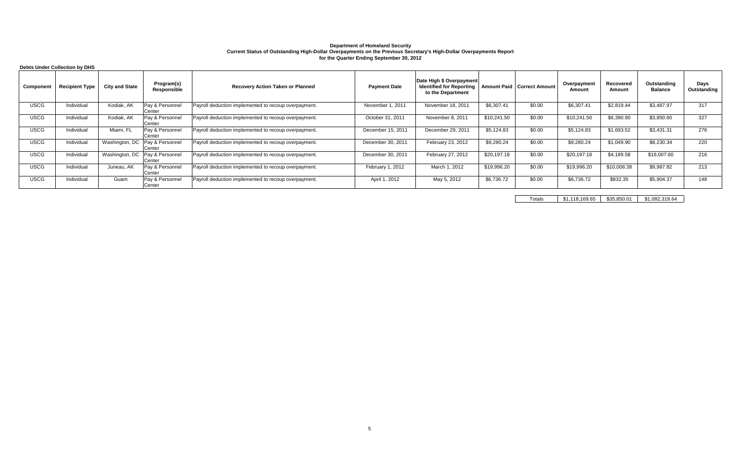|             | Debts Under Collection by DHS |                       |                                            |                                                      |                     |                                                                                  |             |                                     |                       |                     |                        |                     |
|-------------|-------------------------------|-----------------------|--------------------------------------------|------------------------------------------------------|---------------------|----------------------------------------------------------------------------------|-------------|-------------------------------------|-----------------------|---------------------|------------------------|---------------------|
| Component   | <b>Recipient Type</b>         | <b>City and State</b> | Program(s)<br>Responsible                  | <b>Recovery Action Taken or Planned</b>              | <b>Payment Date</b> | Date High \$ Overpayment<br><b>Identified for Reporting</b><br>to the Department |             | <b>Amount Paid   Correct Amount</b> | Overpayment<br>Amount | Recovered<br>Amount | Outstanding<br>Balance | Days<br>Outstanding |
| <b>USCG</b> | Individual                    | Kodiak, AK            | Pay & Personnel<br>Center                  | Payroll deduction implemented to recoup overpayment. | November 1, 2011    | November 18, 2011                                                                | \$6,307.41  | \$0.00                              | \$6,307.41            | \$2.819.44          | \$3,487.97             | 317                 |
| <b>USCG</b> | Individual                    | Kodiak, AK            | Pay & Personnel<br>Center                  | Payroll deduction implemented to recoup overpayment. | October 31, 2011    | November 8, 2011                                                                 | \$10,241.50 | \$0.00                              | \$10,241.50           | \$6,390.90          | \$3,850.60             | 327                 |
| <b>USCG</b> | Individual                    | Miami, FL             | Pay & Personnel<br>Center                  | Payroll deduction implemented to recoup overpayment. | December 15, 2011   | December 29, 2011                                                                | \$5,124.83  | \$0.00                              | \$5,124.83            | \$1,693.52          | \$3,431.31             | 276                 |
| <b>USCG</b> | Individual                    |                       | Washington, DC   Pay & Personnel<br>Center | Payroll deduction implemented to recoup overpayment. | December 30, 2011   | February 23, 2012                                                                | \$9,280.24  | \$0.00                              | \$9,280.24            | \$1,049.90          | \$8,230.34             | 220                 |
| <b>USCG</b> | Individual                    | Washington, DC        | Pay & Personnel<br>Center                  | Payroll deduction implemented to recoup overpayment. | December 30, 2011   | February 27, 2012                                                                | \$20,197.18 | \$0.00                              | \$20,197.18           | \$4,189.58          | \$16,007.60            | 216                 |
| <b>USCG</b> | Individual                    | Juneau, AK            | Pay & Personnel<br>Center                  | Payroll deduction implemented to recoup overpayment. | February 1, 2012    | March 1, 2012                                                                    | \$19,996.20 | \$0.00                              | \$19,996.20           | \$10,008.38         | \$9,987.82             | 213                 |
| <b>USCG</b> | Individual                    | Guam                  | Pay & Personnel<br>Center                  | Payroll deduction implemented to recoup overpayment. | April 1, 2012       | May 5, 2012                                                                      | \$6,736.72  | \$0.00                              | \$6,736.72            | \$832.35            | \$5,904.37             | 148                 |

Totals \$1,118,169.65 \$35,850.01 \$1,082,319.64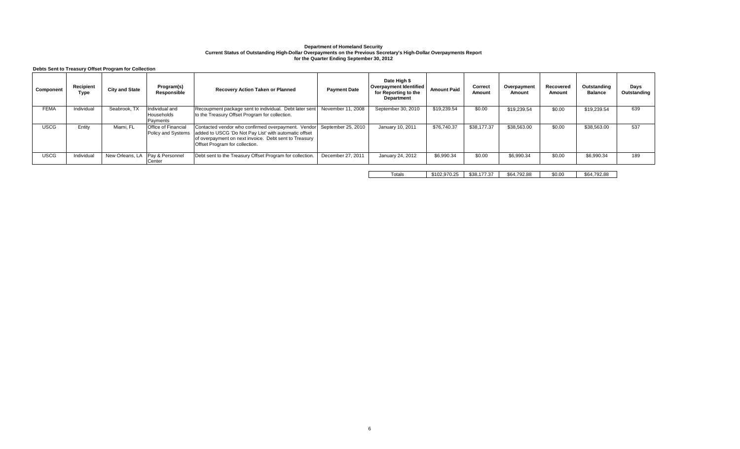**Debts Sent to Treasury Offset Program for Collection**

| Component   | Recipient<br>Type | <b>City and State</b>             | Program(s)<br>Responsible                        | <b>Recovery Action Taken or Planned</b>                                                                                                                                                                | <b>Payment Date</b> | Date High \$<br>Overpayment Identified<br>for Reporting to the<br><b>Department</b> | <b>Amount Paid</b> | Correct<br>Amount | Overpayment<br>Amount | Recovered<br>Amount | Outstanding<br><b>Balance</b> | Days<br>Outstanding |
|-------------|-------------------|-----------------------------------|--------------------------------------------------|--------------------------------------------------------------------------------------------------------------------------------------------------------------------------------------------------------|---------------------|-------------------------------------------------------------------------------------|--------------------|-------------------|-----------------------|---------------------|-------------------------------|---------------------|
| <b>FEMA</b> | Individual        | Seabrook, TX                      | Individual and<br>Households<br>Payments         | Recoupment package sent to individual. Debt later sent<br>to the Treasury Offset Program for collection.                                                                                               | November 11, 2008   | September 30, 2010                                                                  | \$19,239.54        | \$0.00            | \$19,239.54           | \$0.00              | \$19,239.54                   | 639                 |
| <b>USCG</b> | Entity            | Miami, FL                         | <b>Office of Financial</b><br>Policy and Systems | Contacted vendor who confirmed overpayment. Vendor<br>added to USCG 'Do Not Pay List' with automatic offset<br>of overpayment on next invoice. Debt sent to Treasury<br>Offset Program for collection. | September 25, 2010  | January 10, 2011                                                                    | \$76,740.37        | \$38,177.37       | \$38,563.00           | \$0.00              | \$38,563.00                   | 537                 |
| <b>USCG</b> | Individual        | New Orleans, LA   Pay & Personnel | <b>ICenter</b>                                   | Debt sent to the Treasury Offset Program for collection.                                                                                                                                               | December 27, 2011   | January 24, 2012                                                                    | \$6,990.34         | \$0.00            | \$6.990.34            | \$0.00              | \$6,990.34                    | 189                 |

Totals \$102,970.25 \$38,177.37 \$64,792.88 \$0.00 \$64,792.88